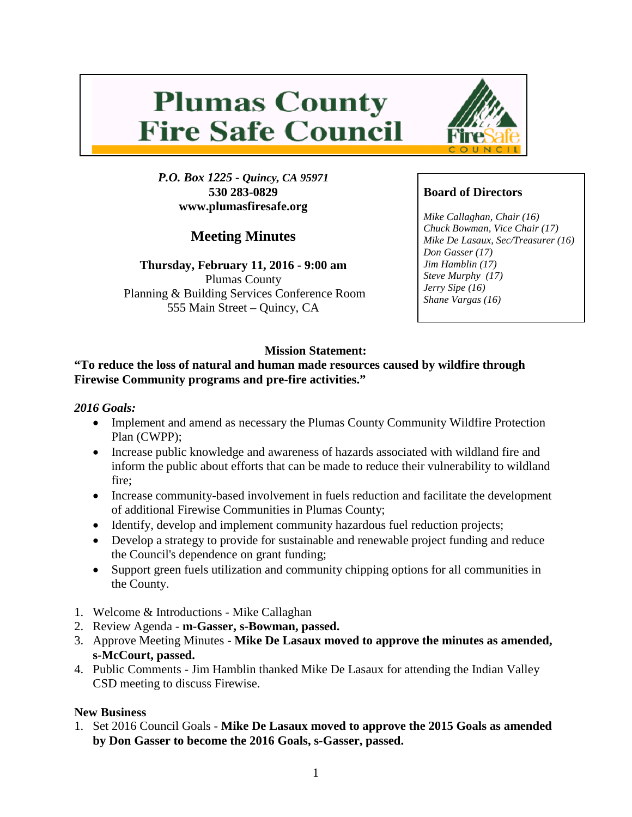# **Plumas County Fire Safe Council**

*P.O. Box 1225 - Quincy, CA 95971* **530 283-0829 www.plumasfiresafe.org**

**Meeting Minutes**

**Thursday, February 11, 2016 - 9:00 am** Plumas County Planning & Building Services Conference Room 555 Main Street – Quincy, CA



## **Board of Directors**

*Mike Callaghan, Chair (16) Chuck Bowman, Vice Chair (17) Mike De Lasaux, Sec/Treasurer (16) Don Gasser (17) Jim Hamblin (17) Steve Murphy (17) Jerry Sipe (16) Shane Vargas (16)*

## **Mission Statement:**

#### **"To reduce the loss of natural and human made resources caused by wildfire through Firewise Community programs and pre-fire activities."**

### *2016 Goals:*

- Implement and amend as necessary the Plumas County Community Wildfire Protection Plan (CWPP);
- Increase public knowledge and awareness of hazards associated with wildland fire and inform the public about efforts that can be made to reduce their vulnerability to wildland fire;
- Increase community-based involvement in fuels reduction and facilitate the development of additional Firewise Communities in Plumas County;
- Identify, develop and implement community hazardous fuel reduction projects;
- Develop a strategy to provide for sustainable and renewable project funding and reduce the Council's dependence on grant funding;
- Support green fuels utilization and community chipping options for all communities in the County.
- 1. Welcome & Introductions Mike Callaghan
- 2. Review Agenda **m-Gasser, s-Bowman, passed.**
- 3. Approve Meeting Minutes **Mike De Lasaux moved to approve the minutes as amended, s-McCourt, passed.**
- 4. Public Comments Jim Hamblin thanked Mike De Lasaux for attending the Indian Valley CSD meeting to discuss Firewise.

## **New Business**

1. Set 2016 Council Goals - **Mike De Lasaux moved to approve the 2015 Goals as amended by Don Gasser to become the 2016 Goals, s-Gasser, passed.**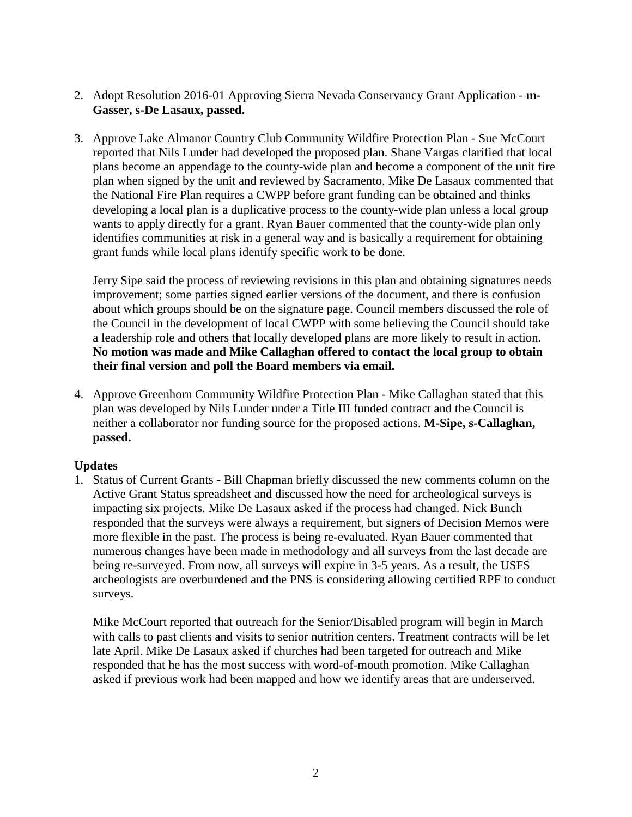- 2. Adopt Resolution 2016-01 Approving Sierra Nevada Conservancy Grant Application **m-Gasser, s-De Lasaux, passed.**
- 3. Approve Lake Almanor Country Club Community Wildfire Protection Plan Sue McCourt reported that Nils Lunder had developed the proposed plan. Shane Vargas clarified that local plans become an appendage to the county-wide plan and become a component of the unit fire plan when signed by the unit and reviewed by Sacramento. Mike De Lasaux commented that the National Fire Plan requires a CWPP before grant funding can be obtained and thinks developing a local plan is a duplicative process to the county-wide plan unless a local group wants to apply directly for a grant. Ryan Bauer commented that the county-wide plan only identifies communities at risk in a general way and is basically a requirement for obtaining grant funds while local plans identify specific work to be done.

Jerry Sipe said the process of reviewing revisions in this plan and obtaining signatures needs improvement; some parties signed earlier versions of the document, and there is confusion about which groups should be on the signature page. Council members discussed the role of the Council in the development of local CWPP with some believing the Council should take a leadership role and others that locally developed plans are more likely to result in action. **No motion was made and Mike Callaghan offered to contact the local group to obtain their final version and poll the Board members via email.**

4. Approve Greenhorn Community Wildfire Protection Plan - Mike Callaghan stated that this plan was developed by Nils Lunder under a Title III funded contract and the Council is neither a collaborator nor funding source for the proposed actions. **M-Sipe, s-Callaghan, passed.**

#### **Updates**

1. Status of Current Grants - Bill Chapman briefly discussed the new comments column on the Active Grant Status spreadsheet and discussed how the need for archeological surveys is impacting six projects. Mike De Lasaux asked if the process had changed. Nick Bunch responded that the surveys were always a requirement, but signers of Decision Memos were more flexible in the past. The process is being re-evaluated. Ryan Bauer commented that numerous changes have been made in methodology and all surveys from the last decade are being re-surveyed. From now, all surveys will expire in 3-5 years. As a result, the USFS archeologists are overburdened and the PNS is considering allowing certified RPF to conduct surveys.

Mike McCourt reported that outreach for the Senior/Disabled program will begin in March with calls to past clients and visits to senior nutrition centers. Treatment contracts will be let late April. Mike De Lasaux asked if churches had been targeted for outreach and Mike responded that he has the most success with word-of-mouth promotion. Mike Callaghan asked if previous work had been mapped and how we identify areas that are underserved.